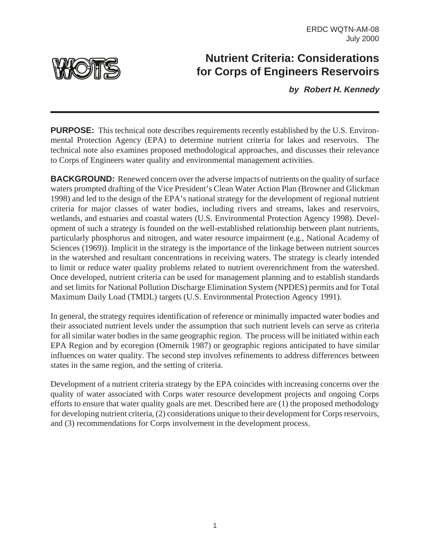

# **Nutrient Criteria: Considerations for Corps of Engineers Reservoirs**

**by Robert H. Kennedy**

**PURPOSE:** This technical note describes requirements recently established by the U.S. Environmental Protection Agency (EPA) to determine nutrient criteria for lakes and reservoirs. The technical note also examines proposed methodological approaches, and discusses their relevance to Corps of Engineers water quality and environmental management activities.

**BACKGROUND:** Renewed concern over the adverse impacts of nutrients on the quality of surface waters prompted drafting of the Vice President's Clean Water Action Plan (Browner and Glickman 1998) and led to the design of the EPA's national strategy for the development of regional nutrient criteria for major classes of water bodies, including rivers and streams, lakes and reservoirs, wetlands, and estuaries and coastal waters (U.S. Environmental Protection Agency 1998). Development of such a strategy is founded on the well-established relationship between plant nutrients, particularly phosphorus and nitrogen, and water resource impairment (e.g., National Academy of Sciences (1969)). Implicit in the strategy is the importance of the linkage between nutrient sources in the watershed and resultant concentrations in receiving waters. The strategy is clearly intended to limit or reduce water quality problems related to nutrient overenrichment from the watershed. Once developed, nutrient criteria can be used for management planning and to establish standards and set limits for National Pollution Discharge Elimination System (NPDES) permits and for Total Maximum Daily Load (TMDL) targets (U.S. Environmental Protection Agency 1991).

In general, the strategy requires identification of reference or minimally impacted water bodies and their associated nutrient levels under the assumption that such nutrient levels can serve as criteria for all similar water bodies in the same geographic region. The process will be initiated within each EPA Region and by ecoregion (Omernik 1987) or geographic regions anticipated to have similar influences on water quality. The second step involves refinements to address differences between states in the same region, and the setting of criteria.

Development of a nutrient criteria strategy by the EPA coincides with increasing concerns over the quality of water associated with Corps water resource development projects and ongoing Corps efforts to ensure that water quality goals are met. Described here are (1) the proposed methodology for developing nutrient criteria, (2) considerations unique to their development for Corps reservoirs, and (3) recommendations for Corps involvement in the development process.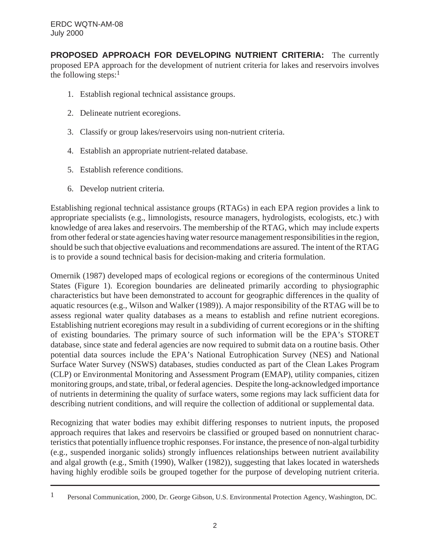**PROPOSED APPROACH FOR DEVELOPING NUTRIENT CRITERIA:** The currently proposed EPA approach for the development of nutrient criteria for lakes and reservoirs involves the following steps: $<sup>1</sup>$ </sup>

- 1. Establish regional technical assistance groups.
- 2. Delineate nutrient ecoregions.
- 3. Classify or group lakes/reservoirs using non-nutrient criteria.
- 4. Establish an appropriate nutrient-related database.
- 5. Establish reference conditions.
- 6. Develop nutrient criteria.

Establishing regional technical assistance groups (RTAGs) in each EPA region provides a link to appropriate specialists (e.g., limnologists, resource managers, hydrologists, ecologists, etc.) with knowledge of area lakes and reservoirs. The membership of the RTAG, which may include experts from other federal or state agencies having water resource management responsibilities in the region, should be such that objective evaluations and recommendations are assured. The intent of the RTAG is to provide a sound technical basis for decision-making and criteria formulation.

Omernik (1987) developed maps of ecological regions or ecoregions of the conterminous United States (Figure 1). Ecoregion boundaries are delineated primarily according to physiographic characteristics but have been demonstrated to account for geographic differences in the quality of aquatic resources (e.g., Wilson and Walker (1989)). A major responsibility of the RTAG will be to assess regional water quality databases as a means to establish and refine nutrient ecoregions. Establishing nutrient ecoregions may result in a subdividing of current ecoregions or in the shifting of existing boundaries. The primary source of such information will be the EPA's STORET database, since state and federal agencies are now required to submit data on a routine basis. Other potential data sources include the EPA's National Eutrophication Survey (NES) and National Surface Water Survey (NSWS) databases, studies conducted as part of the Clean Lakes Program (CLP) or Environmental Monitoring and Assessment Program (EMAP), utility companies, citizen monitoring groups, and state, tribal, or federal agencies. Despite the long-acknowledged importance of nutrients in determining the quality of surface waters, some regions may lack sufficient data for describing nutrient conditions, and will require the collection of additional or supplemental data.

Recognizing that water bodies may exhibit differing responses to nutrient inputs, the proposed approach requires that lakes and reservoirs be classified or grouped based on nonnutrient characteristics that potentially influence trophic responses. For instance, the presence of non-algal turbidity (e.g., suspended inorganic solids) strongly influences relationships between nutrient availability and algal growth (e.g., Smith (1990), Walker (1982)), suggesting that lakes located in watersheds having highly erodible soils be grouped together for the purpose of developing nutrient criteria.

<sup>1</sup> Personal Communication, 2000, Dr. George Gibson, U.S. Environmental Protection Agency, Washington, DC.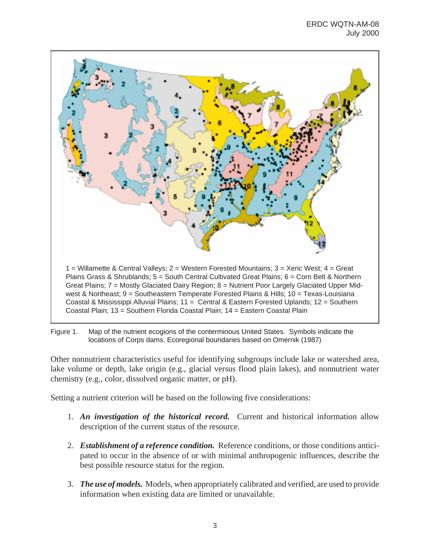

Figure 1. Map of the nutrient ecogions of the conterminous United States. Symbols indicate the locations of Corps dams. Ecoregional boundaries based on Omernik (1987)

Other nonnutrient characteristics useful for identifying subgroups include lake or watershed area, lake volume or depth, lake origin (e.g., glacial versus flood plain lakes), and nonnutrient water chemistry (e.g., color, dissolved organic matter, or pH).

Setting a nutrient criterion will be based on the following five considerations:

- 1. *An investigation of the historical record.* Current and historical information allow description of the current status of the resource.
- 2. *Establishment of a reference condition.* Reference conditions, or those conditions anticipated to occur in the absence of or with minimal anthropogenic influences, describe the best possible resource status for the region.
- 3. *The use of models.* Models, when appropriately calibrated and verified, are used to provide information when existing data are limited or unavailable.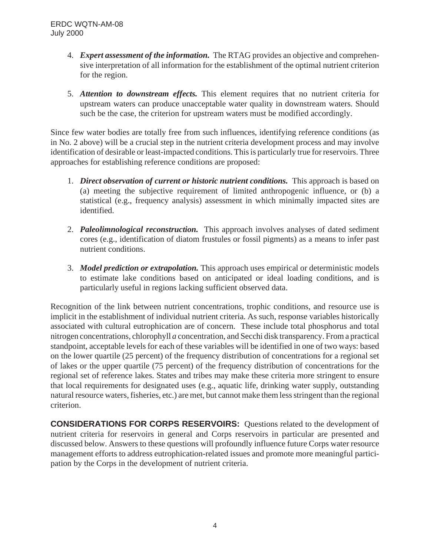- 4. *Expert assessment of the information.* The RTAG provides an objective and comprehensive interpretation of all information for the establishment of the optimal nutrient criterion for the region.
- 5. *Attention to downstream effects.* This element requires that no nutrient criteria for upstream waters can produce unacceptable water quality in downstream waters. Should such be the case, the criterion for upstream waters must be modified accordingly.

Since few water bodies are totally free from such influences, identifying reference conditions (as in No. 2 above) will be a crucial step in the nutrient criteria development process and may involve identification of desirable or least-impacted conditions. This is particularly true for reservoirs. Three approaches for establishing reference conditions are proposed:

- 1. *Direct observation of current or historic nutrient conditions.* This approach is based on (a) meeting the subjective requirement of limited anthropogenic influence, or (b) a statistical (e.g., frequency analysis) assessment in which minimally impacted sites are identified.
- 2. *Paleolimnological reconstruction.* This approach involves analyses of dated sediment cores (e.g., identification of diatom frustules or fossil pigments) as a means to infer past nutrient conditions.
- 3. *Model prediction or extrapolation.* This approach uses empirical or deterministic models to estimate lake conditions based on anticipated or ideal loading conditions, and is particularly useful in regions lacking sufficient observed data.

Recognition of the link between nutrient concentrations, trophic conditions, and resource use is implicit in the establishment of individual nutrient criteria. As such, response variables historically associated with cultural eutrophication are of concern. These include total phosphorus and total nitrogen concentrations, chlorophyll *a* concentration, and Secchi disk transparency. From a practical standpoint, acceptable levels for each of these variables will be identified in one of two ways: based on the lower quartile (25 percent) of the frequency distribution of concentrations for a regional set of lakes or the upper quartile (75 percent) of the frequency distribution of concentrations for the regional set of reference lakes. States and tribes may make these criteria more stringent to ensure that local requirements for designated uses (e.g., aquatic life, drinking water supply, outstanding natural resource waters, fisheries, etc.) are met, but cannot make them less stringent than the regional criterion.

**CONSIDERATIONS FOR CORPS RESERVOIRS:** Questions related to the development of nutrient criteria for reservoirs in general and Corps reservoirs in particular are presented and discussed below. Answers to these questions will profoundly influence future Corps water resource management efforts to address eutrophication-related issues and promote more meaningful participation by the Corps in the development of nutrient criteria.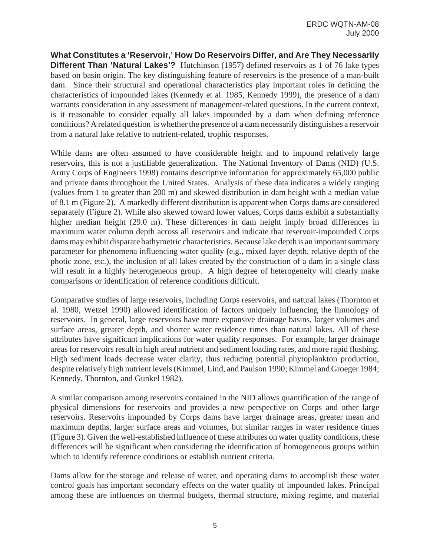**What Constitutes a 'Reservoir,' How Do Reservoirs Differ, and Are They Necessarily Different Than 'Natural Lakes'?** Hutchinson (1957) defined reservoirs as 1 of 76 lake types based on basin origin. The key distinguishing feature of reservoirs is the presence of a man-built dam. Since their structural and operational characteristics play important roles in defining the characteristics of impounded lakes (Kennedy et al. 1985, Kennedy 1999), the presence of a dam warrants consideration in any assessment of management-related questions. In the current context, is it reasonable to consider equally all lakes impounded by a dam when defining reference conditions? A related question is whether the presence of a dam necessarily distinguishes a reservoir from a natural lake relative to nutrient-related, trophic responses.

While dams are often assumed to have considerable height and to impound relatively large reservoirs, this is not a justifiable generalization. The National Inventory of Dams (NID) (U.S. Army Corps of Engineers 1998) contains descriptive information for approximately 65,000 public and private dams throughout the United States. Analysis of these data indicates a widely ranging (values from 1 to greater than 200 m) and skewed distribution in dam height with a median value of 8.1 m (Figure 2). A markedly different distribution is apparent when Corps dams are considered separately (Figure 2). While also skewed toward lower values, Corps dams exhibit a substantially higher median height (29.0 m). These differences in dam height imply broad differences in maximum water column depth across all reservoirs and indicate that reservoir-impounded Corps dams may exhibit disparate bathymetric characteristics. Because lake depth is an important summary parameter for phenomena influencing water quality (e.g., mixed layer depth, relative depth of the photic zone, etc.), the inclusion of all lakes created by the construction of a dam in a single class will result in a highly heterogeneous group. A high degree of heterogeneity will clearly make comparisons or identification of reference conditions difficult.

Comparative studies of large reservoirs, including Corps reservoirs, and natural lakes (Thornton et al. 1980, Wetzel 1990) allowed identification of factors uniquely influencing the limnology of reservoirs. In general, large reservoirs have more expansive drainage basins, larger volumes and surface areas, greater depth, and shorter water residence times than natural lakes. All of these attributes have significant implications for water quality responses. For example, larger drainage areas for reservoirs result in high areal nutrient and sediment loading rates, and more rapid flushing. High sediment loads decrease water clarity, thus reducing potential phytoplankton production, despite relatively high nutrient levels (Kimmel, Lind, and Paulson 1990; Kimmel and Groeger 1984; Kennedy, Thornton, and Gunkel 1982).

A similar comparison among reservoirs contained in the NID allows quantification of the range of physical dimensions for reservoirs and provides a new perspective on Corps and other large reservoirs. Reservoirs impounded by Corps dams have larger drainage areas, greater mean and maximum depths, larger surface areas and volumes, but similar ranges in water residence times (Figure 3). Given the well-established influence of these attributes on water quality conditions, these differences will be significant when considering the identification of homogeneous groups within which to identify reference conditions or establish nutrient criteria.

Dams allow for the storage and release of water, and operating dams to accomplish these water control goals has important secondary effects on the water quality of impounded lakes. Principal among these are influences on thermal budgets, thermal structure, mixing regime, and material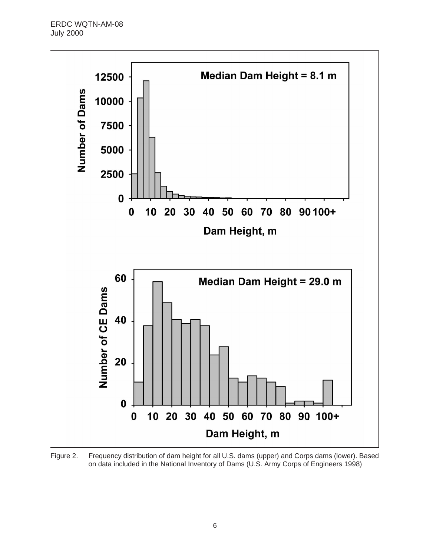

Figure 2. Frequency distribution of dam height for all U.S. dams (upper) and Corps dams (lower). Based on data included in the National Inventory of Dams (U.S. Army Corps of Engineers 1998)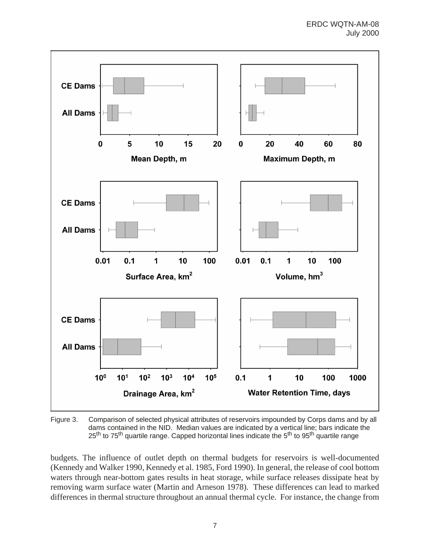

Figure 3. Comparison of selected physical attributes of reservoirs impounded by Corps dams and by all dams contained in the NID. Median values are indicated by a vertical line; bars indicate the  $25<sup>th</sup>$  to 75<sup>th</sup> quartile range. Capped horizontal lines indicate the  $5<sup>th</sup>$  to 95<sup>th</sup> quartile range

budgets. The influence of outlet depth on thermal budgets for reservoirs is well-documented (Kennedy and Walker 1990, Kennedy et al. 1985, Ford 1990). In general, the release of cool bottom waters through near-bottom gates results in heat storage, while surface releases dissipate heat by removing warm surface water (Martin and Arneson 1978). These differences can lead to marked differences in thermal structure throughout an annual thermal cycle. For instance, the change from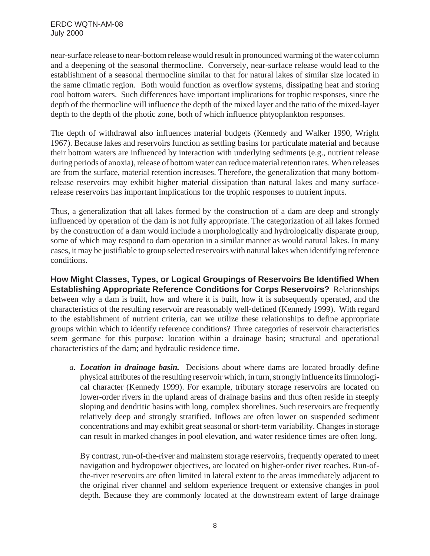near-surface release to near-bottom release would result in pronounced warming of the water column and a deepening of the seasonal thermocline. Conversely, near-surface release would lead to the establishment of a seasonal thermocline similar to that for natural lakes of similar size located in the same climatic region. Both would function as overflow systems, dissipating heat and storing cool bottom waters. Such differences have important implications for trophic responses, since the depth of the thermocline will influence the depth of the mixed layer and the ratio of the mixed-layer depth to the depth of the photic zone, both of which influence phtyoplankton responses.

The depth of withdrawal also influences material budgets (Kennedy and Walker 1990, Wright 1967). Because lakes and reservoirs function as settling basins for particulate material and because their bottom waters are influenced by interaction with underlying sediments (e.g., nutrient release during periods of anoxia), release of bottom water can reduce material retention rates. When releases are from the surface, material retention increases. Therefore, the generalization that many bottomrelease reservoirs may exhibit higher material dissipation than natural lakes and many surfacerelease reservoirs has important implications for the trophic responses to nutrient inputs.

Thus, a generalization that all lakes formed by the construction of a dam are deep and strongly influenced by operation of the dam is not fully appropriate. The categorization of all lakes formed by the construction of a dam would include a morphologically and hydrologically disparate group, some of which may respond to dam operation in a similar manner as would natural lakes. In many cases, it may be justifiable to group selected reservoirs with natural lakes when identifying reference conditions.

**How Might Classes, Types, or Logical Groupings of Reservoirs Be Identified When Establishing Appropriate Reference Conditions for Corps Reservoirs?** Relationships between why a dam is built, how and where it is built, how it is subsequently operated, and the characteristics of the resulting reservoir are reasonably well-defined (Kennedy 1999). With regard to the establishment of nutrient criteria, can we utilize these relationships to define appropriate groups within which to identify reference conditions? Three categories of reservoir characteristics seem germane for this purpose: location within a drainage basin; structural and operational characteristics of the dam; and hydraulic residence time.

*a. Location in drainage basin.* Decisions about where dams are located broadly define physical attributes of the resulting reservoir which, in turn, strongly influence its limnological character (Kennedy 1999). For example, tributary storage reservoirs are located on lower-order rivers in the upland areas of drainage basins and thus often reside in steeply sloping and dendritic basins with long, complex shorelines. Such reservoirs are frequently relatively deep and strongly stratified. Inflows are often lower on suspended sediment concentrations and may exhibit great seasonal or short-term variability. Changes in storage can result in marked changes in pool elevation, and water residence times are often long.

By contrast, run-of-the-river and mainstem storage reservoirs, frequently operated to meet navigation and hydropower objectives, are located on higher-order river reaches. Run-ofthe-river reservoirs are often limited in lateral extent to the areas immediately adjacent to the original river channel and seldom experience frequent or extensive changes in pool depth. Because they are commonly located at the downstream extent of large drainage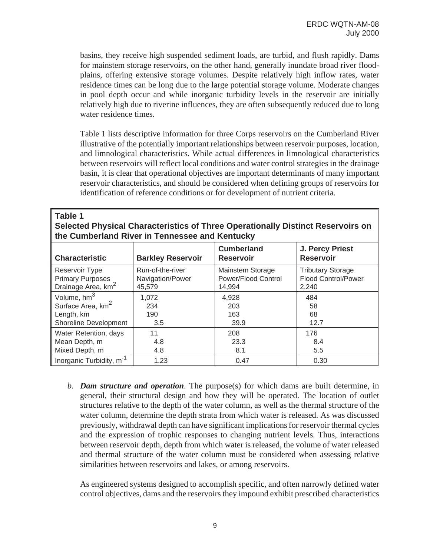basins, they receive high suspended sediment loads, are turbid, and flush rapidly. Dams for mainstem storage reservoirs, on the other hand, generally inundate broad river floodplains, offering extensive storage volumes. Despite relatively high inflow rates, water residence times can be long due to the large potential storage volume. Moderate changes in pool depth occur and while inorganic turbidity levels in the reservoir are initially relatively high due to riverine influences, they are often subsequently reduced due to long water residence times.

Table 1 lists descriptive information for three Corps reservoirs on the Cumberland River illustrative of the potentially important relationships between reservoir purposes, location, and limnological characteristics. While actual differences in limnological characteristics between reservoirs will reflect local conditions and water control strategies in the drainage basin, it is clear that operational objectives are important determinants of many important reservoir characteristics, and should be considered when defining groups of reservoirs for identification of reference conditions or for development of nutrient criteria.

## **Table 1 Selected Physical Characteristics of Three Operationally Distinct Reservoirs on the Cumberland River in Tennessee and Kentucky**

| <b>Characteristic</b>                | <b>Barkley Reservoir</b> | <b>Cumberland</b><br><b>Reservoir</b> | J. Percy Priest<br><b>Reservoir</b> |
|--------------------------------------|--------------------------|---------------------------------------|-------------------------------------|
| Reservoir Type                       | Run-of-the-river         | Mainstem Storage                      | <b>Tributary Storage</b>            |
| <b>Primary Purposes</b>              | Navigation/Power         | Power/Flood Control                   | <b>Flood Control/Power</b>          |
| Drainage Area, km <sup>2</sup>       | 45,579                   | 14,994                                | 2,240                               |
| Volume, hm <sup>3</sup>              | 1,072                    | 4,928                                 | 484                                 |
| Surface Area, km <sup>2</sup>        | 234                      | 203                                   | 58                                  |
| Length, km                           | 190                      | 163                                   | 68                                  |
| <b>Shoreline Development</b>         | 3.5                      | 39.9                                  | 12.7                                |
| Water Retention, days                | 11                       | 208                                   | 176                                 |
| Mean Depth, m                        | 4.8                      | 23.3                                  | 8.4                                 |
| Mixed Depth, m                       | 4.8                      | 8.1                                   | 5.5                                 |
| Inorganic Turbidity, m <sup>-1</sup> | 1.23                     | 0.47                                  | 0.30                                |

*b. Dam structure and operation*. The purpose(s) for which dams are built determine, in general, their structural design and how they will be operated. The location of outlet structures relative to the depth of the water column, as well as the thermal structure of the water column, determine the depth strata from which water is released. As was discussed previously, withdrawal depth can have significant implications for reservoir thermal cycles and the expression of trophic responses to changing nutrient levels. Thus, interactions between reservoir depth, depth from which water is released, the volume of water released and thermal structure of the water column must be considered when assessing relative similarities between reservoirs and lakes, or among reservoirs.

As engineered systems designed to accomplish specific, and often narrowly defined water control objectives, dams and the reservoirs they impound exhibit prescribed characteristics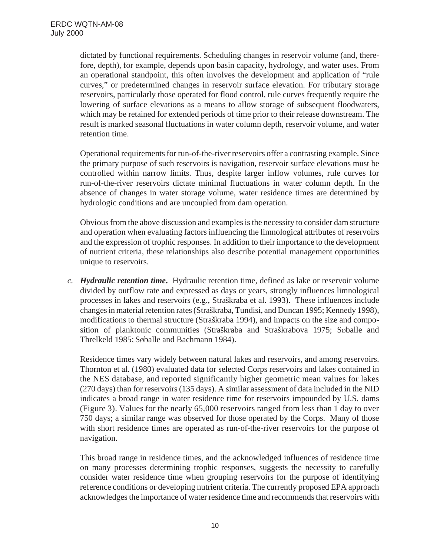dictated by functional requirements. Scheduling changes in reservoir volume (and, therefore, depth), for example, depends upon basin capacity, hydrology, and water uses. From an operational standpoint, this often involves the development and application of "rule curves," or predetermined changes in reservoir surface elevation. For tributary storage reservoirs, particularly those operated for flood control, rule curves frequently require the lowering of surface elevations as a means to allow storage of subsequent floodwaters, which may be retained for extended periods of time prior to their release downstream. The result is marked seasonal fluctuations in water column depth, reservoir volume, and water retention time.

Operational requirements for run-of-the-river reservoirs offer a contrasting example. Since the primary purpose of such reservoirs is navigation, reservoir surface elevations must be controlled within narrow limits. Thus, despite larger inflow volumes, rule curves for run-of-the-river reservoirs dictate minimal fluctuations in water column depth. In the absence of changes in water storage volume, water residence times are determined by hydrologic conditions and are uncoupled from dam operation.

Obvious from the above discussion and examples is the necessity to consider dam structure and operation when evaluating factors influencing the limnological attributes of reservoirs and the expression of trophic responses. In addition to their importance to the development of nutrient criteria, these relationships also describe potential management opportunities unique to reservoirs.

*c. Hydraulic retention time***.** Hydraulic retention time, defined as lake or reservoir volume divided by outflow rate and expressed as days or years, strongly influences limnological processes in lakes and reservoirs (e.g., Straškraba et al. 1993). These influences include changes in material retention rates (Straškraba, Tundisi, and Duncan 1995; Kennedy 1998), modifications to thermal structure (Straškraba 1994), and impacts on the size and composition of planktonic communities (Straškraba and Straškrabova 1975; Søballe and Threlkeld 1985; SØballe and Bachmann 1984).

Residence times vary widely between natural lakes and reservoirs, and among reservoirs. Thornton et al. (1980) evaluated data for selected Corps reservoirs and lakes contained in the NES database, and reported significantly higher geometric mean values for lakes (270 days) than for reservoirs (135 days). A similar assessment of data included in the NID indicates a broad range in water residence time for reservoirs impounded by U.S. dams (Figure 3). Values for the nearly 65,000 reservoirs ranged from less than 1 day to over 750 days; a similar range was observed for those operated by the Corps. Many of those with short residence times are operated as run-of-the-river reservoirs for the purpose of navigation.

This broad range in residence times, and the acknowledged influences of residence time on many processes determining trophic responses, suggests the necessity to carefully consider water residence time when grouping reservoirs for the purpose of identifying reference conditions or developing nutrient criteria. The currently proposed EPA approach acknowledges the importance of water residence time and recommends that reservoirs with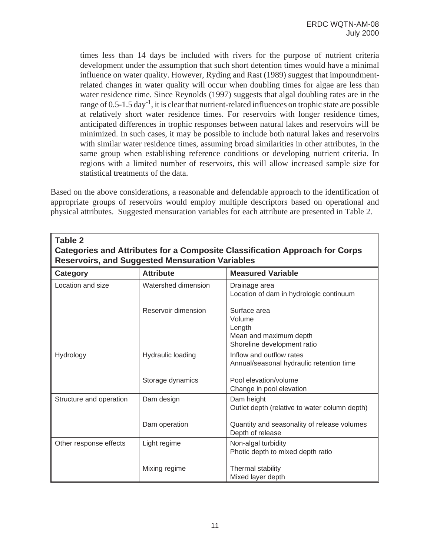times less than 14 days be included with rivers for the purpose of nutrient criteria development under the assumption that such short detention times would have a minimal influence on water quality. However, Ryding and Rast (1989) suggest that impoundmentrelated changes in water quality will occur when doubling times for algae are less than water residence time. Since Reynolds (1997) suggests that algal doubling rates are in the range of  $0.5$ -1.5 day<sup>-1</sup>, it is clear that nutrient-related influences on trophic state are possible at relatively short water residence times. For reservoirs with longer residence times, anticipated differences in trophic responses between natural lakes and reservoirs will be minimized. In such cases, it may be possible to include both natural lakes and reservoirs with similar water residence times, assuming broad similarities in other attributes, in the same group when establishing reference conditions or developing nutrient criteria. In regions with a limited number of reservoirs, this will allow increased sample size for statistical treatments of the data.

Based on the above considerations, a reasonable and defendable approach to the identification of appropriate groups of reservoirs would employ multiple descriptors based on operational and physical attributes. Suggested mensuration variables for each attribute are presented in Table 2.

| Reservoirs, and Suggested Mensuration variables |                     |                                                                                           |  |
|-------------------------------------------------|---------------------|-------------------------------------------------------------------------------------------|--|
| Category                                        | <b>Attribute</b>    | <b>Measured Variable</b>                                                                  |  |
| Location and size                               | Watershed dimension | Drainage area<br>Location of dam in hydrologic continuum                                  |  |
|                                                 | Reservoir dimension | Surface area<br>Volume<br>Length<br>Mean and maximum depth<br>Shoreline development ratio |  |
| Hydrology                                       | Hydraulic loading   | Inflow and outflow rates<br>Annual/seasonal hydraulic retention time                      |  |
|                                                 | Storage dynamics    | Pool elevation/volume<br>Change in pool elevation                                         |  |
| Structure and operation                         | Dam design          | Dam height<br>Outlet depth (relative to water column depth)                               |  |
|                                                 | Dam operation       | Quantity and seasonality of release volumes<br>Depth of release                           |  |
| Other response effects                          | Light regime        | Non-algal turbidity<br>Photic depth to mixed depth ratio                                  |  |
|                                                 | Mixing regime       | Thermal stability<br>Mixed layer depth                                                    |  |

**Table 2 Categories and Attributes for a Composite Classification Approach for Corps Reservoirs, and Suggested Mensuration Variables**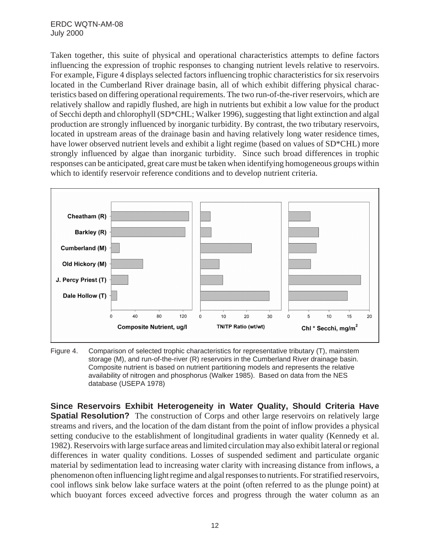Taken together, this suite of physical and operational characteristics attempts to define factors influencing the expression of trophic responses to changing nutrient levels relative to reservoirs. For example, Figure 4 displays selected factors influencing trophic characteristics for six reservoirs located in the Cumberland River drainage basin, all of which exhibit differing physical characteristics based on differing operational requirements. The two run-of-the-river reservoirs, which are relatively shallow and rapidly flushed, are high in nutrients but exhibit a low value for the product of Secchi depth and chlorophyll (SD\*CHL; Walker 1996), suggesting that light extinction and algal production are strongly influenced by inorganic turbidity. By contrast, the two tributary reservoirs, located in upstream areas of the drainage basin and having relatively long water residence times, have lower observed nutrient levels and exhibit a light regime (based on values of SD<sup>\*</sup>CHL) more strongly influenced by algae than inorganic turbidity. Since such broad differences in trophic responses can be anticipated, great care must be taken when identifying homogeneous groups within which to identify reservoir reference conditions and to develop nutrient criteria.





**Since Reservoirs Exhibit Heterogeneity in Water Quality, Should Criteria Have Spatial Resolution?** The construction of Corps and other large reservoirs on relatively large streams and rivers, and the location of the dam distant from the point of inflow provides a physical setting conducive to the establishment of longitudinal gradients in water quality (Kennedy et al. 1982). Reservoirs with large surface areas and limited circulation may also exhibit lateral or regional differences in water quality conditions. Losses of suspended sediment and particulate organic material by sedimentation lead to increasing water clarity with increasing distance from inflows, a phenomenon often influencing light regime and algal responses to nutrients. For stratified reservoirs, cool inflows sink below lake surface waters at the point (often referred to as the plunge point) at which buoyant forces exceed advective forces and progress through the water column as an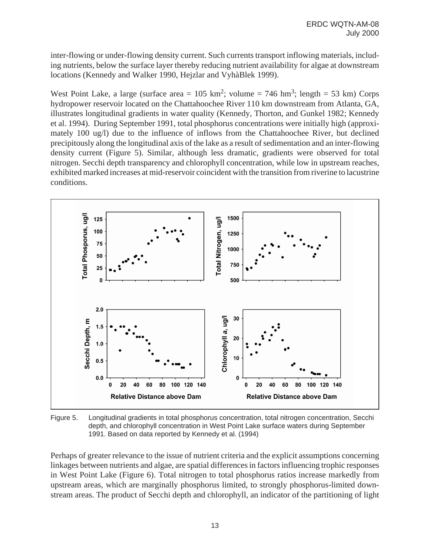inter-flowing or under-flowing density current. Such currents transport inflowing materials, including nutrients, below the surface layer thereby reducing nutrient availability for algae at downstream locations (Kennedy and Walker 1990, Hejzlar and VyhàBlek 1999).

West Point Lake, a large (surface area =  $105 \text{ km}^2$ ; volume =  $746 \text{ hm}^3$ ; length =  $53 \text{ km}$ ) Corps hydropower reservoir located on the Chattahoochee River 110 km downstream from Atlanta, GA, illustrates longitudinal gradients in water quality (Kennedy, Thorton, and Gunkel 1982; Kennedy et al. 1994). During September 1991, total phosphorus concentrations were initially high (approximately 100 ug/l) due to the influence of inflows from the Chattahoochee River, but declined precipitously along the longitudinal axis of the lake as a result of sedimentation and an inter-flowing density current (Figure 5). Similar, although less dramatic, gradients were observed for total nitrogen. Secchi depth transparency and chlorophyll concentration, while low in upstream reaches, exhibited marked increases at mid-reservoir coincident with the transition from riverine to lacustrine conditions.



Figure 5. Longitudinal gradients in total phosphorus concentration, total nitrogen concentration, Secchi depth, and chlorophyll concentration in West Point Lake surface waters during September 1991. Based on data reported by Kennedy et al. (1994)

Perhaps of greater relevance to the issue of nutrient criteria and the explicit assumptions concerning linkages between nutrients and algae, are spatial differences in factors influencing trophic responses in West Point Lake (Figure 6). Total nitrogen to total phosphorus ratios increase markedly from upstream areas, which are marginally phosphorus limited, to strongly phosphorus-limited downstream areas. The product of Secchi depth and chlorophyll, an indicator of the partitioning of light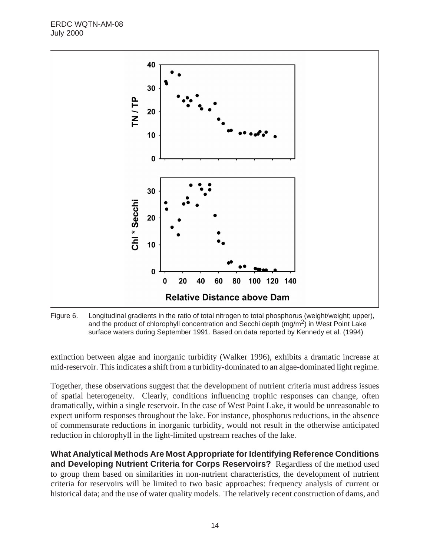ERDC WQTN-AM-08 July 2000



Figure 6. Longitudinal gradients in the ratio of total nitrogen to total phosphorus (weight/weight; upper), and the product of chlorophyll concentration and Secchi depth  $(mq/m^2)$  in West Point Lake surface waters during September 1991. Based on data reported by Kennedy et al. (1994)

extinction between algae and inorganic turbidity (Walker 1996), exhibits a dramatic increase at mid-reservoir. This indicates a shift from a turbidity-dominated to an algae-dominated light regime.

Together, these observations suggest that the development of nutrient criteria must address issues of spatial heterogeneity. Clearly, conditions influencing trophic responses can change, often dramatically, within a single reservoir. In the case of West Point Lake, it would be unreasonable to expect uniform responses throughout the lake. For instance, phosphorus reductions, in the absence of commensurate reductions in inorganic turbidity, would not result in the otherwise anticipated reduction in chlorophyll in the light-limited upstream reaches of the lake.

**What Analytical Methods Are Most Appropriate for Identifying Reference Conditions and Developing Nutrient Criteria for Corps Reservoirs?** Regardless of the method used to group them based on similarities in non-nutrient characteristics, the development of nutrient criteria for reservoirs will be limited to two basic approaches: frequency analysis of current or historical data; and the use of water quality models. The relatively recent construction of dams, and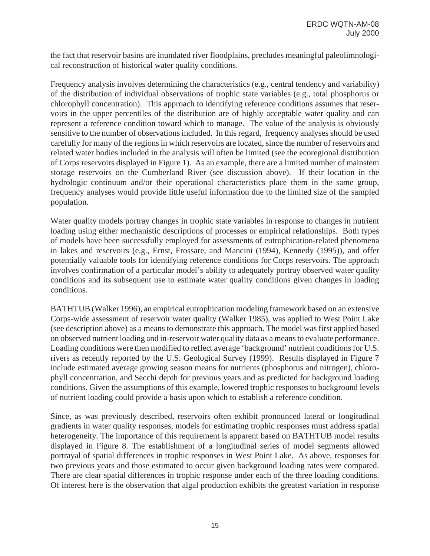the fact that reservoir basins are inundated river floodplains, precludes meaningful paleolimnological reconstruction of historical water quality conditions.

Frequency analysis involves determining the characteristics (e.g., central tendency and variability) of the distribution of individual observations of trophic state variables (e.g., total phosphorus or chlorophyll concentration). This approach to identifying reference conditions assumes that reservoirs in the upper percentiles of the distribution are of highly acceptable water quality and can represent a reference condition toward which to manage. The value of the analysis is obviously sensitive to the number of observations included. In this regard, frequency analyses should be used carefully for many of the regions in which reservoirs are located, since the number of reservoirs and related water bodies included in the analysis will often be limited (see the ecoregional distribution of Corps reservoirs displayed in Figure 1). As an example, there are a limited number of mainstem storage reservoirs on the Cumberland River (see discussion above). If their location in the hydrologic continuum and/or their operational characteristics place them in the same group, frequency analyses would provide little useful information due to the limited size of the sampled population.

Water quality models portray changes in trophic state variables in response to changes in nutrient loading using either mechanistic descriptions of processes or empirical relationships. Both types of models have been successfully employed for assessments of eutrophication-related phenomena in lakes and reservoirs (e.g., Ernst, Frossare, and Mancini (1994), Kennedy (1995)), and offer potentially valuable tools for identifying reference conditions for Corps reservoirs. The approach involves confirmation of a particular model's ability to adequately portray observed water quality conditions and its subsequent use to estimate water quality conditions given changes in loading conditions.

BATHTUB (Walker 1996), an empirical eutrophication modeling framework based on an extensive Corps-wide assessment of reservoir water quality (Walker 1985), was applied to West Point Lake (see description above) as a means to demonstrate this approach. The model was first applied based on observed nutrient loading and in-reservoir water quality data as a means to evaluate performance. Loading conditions were then modified to reflect average 'background' nutrient conditions for U.S. rivers as recently reported by the U.S. Geological Survey (1999). Results displayed in Figure 7 include estimated average growing season means for nutrients (phosphorus and nitrogen), chlorophyll concentration, and Secchi depth for previous years and as predicted for background loading conditions. Given the assumptions of this example, lowered trophic responses to background levels of nutrient loading could provide a basis upon which to establish a reference condition.

Since, as was previously described, reservoirs often exhibit pronounced lateral or longitudinal gradients in water quality responses, models for estimating trophic responses must address spatial heterogeneity. The importance of this requirement is apparent based on BATHTUB model results displayed in Figure 8. The establishment of a longitudinal series of model segments allowed portrayal of spatial differences in trophic responses in West Point Lake. As above, responses for two previous years and those estimated to occur given background loading rates were compared. There are clear spatial differences in trophic response under each of the three loading conditions. Of interest here is the observation that algal production exhibits the greatest variation in response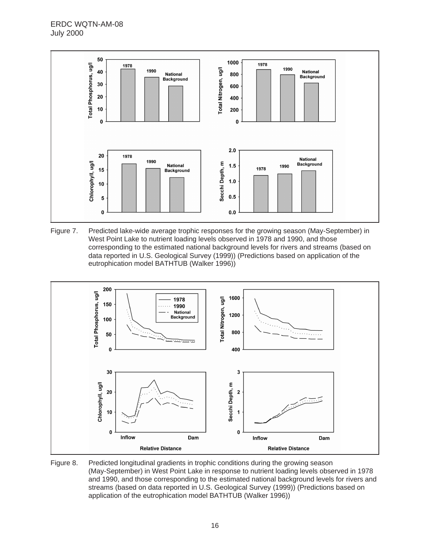

Figure 7. Predicted lake-wide average trophic responses for the growing season (May-September) in West Point Lake to nutrient loading levels observed in 1978 and 1990, and those corresponding to the estimated national background levels for rivers and streams (based on data reported in U.S. Geological Survey (1999)) (Predictions based on application of the eutrophication model BATHTUB (Walker 1996))



Figure 8. Predicted longitudinal gradients in trophic conditions during the growing season (May-September) in West Point Lake in response to nutrient loading levels observed in 1978 and 1990, and those corresponding to the estimated national background levels for rivers and streams (based on data reported in U.S. Geological Survey (1999)) (Predictions based on application of the eutrophication model BATHTUB (Walker 1996))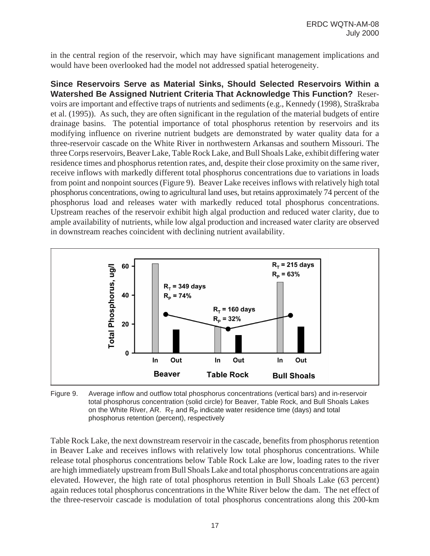in the central region of the reservoir, which may have significant management implications and would have been overlooked had the model not addressed spatial heterogeneity.

**Since Reservoirs Serve as Material Sinks, Should Selected Reservoirs Within a Watershed Be Assigned Nutrient Criteria That Acknowledge This Function?** Reservoirs are important and effective traps of nutrients and sediments (e.g., Kennedy (1998), Straškraba et al. (1995)). As such, they are often significant in the regulation of the material budgets of entire drainage basins. The potential importance of total phosphorus retention by reservoirs and its modifying influence on riverine nutrient budgets are demonstrated by water quality data for a three-reservoir cascade on the White River in northwestern Arkansas and southern Missouri. The three Corps reservoirs, Beaver Lake, Table Rock Lake, and Bull Shoals Lake, exhibit differing water residence times and phosphorus retention rates, and, despite their close proximity on the same river, receive inflows with markedly different total phosphorus concentrations due to variations in loads from point and nonpoint sources (Figure 9). Beaver Lake receives inflows with relatively high total phosphorus concentrations, owing to agricultural land uses, but retains approximately 74 percent of the phosphorus load and releases water with markedly reduced total phosphorus concentrations. Upstream reaches of the reservoir exhibit high algal production and reduced water clarity, due to ample availability of nutrients, while low algal production and increased water clarity are observed in downstream reaches coincident with declining nutrient availability.



Figure 9. Average inflow and outflow total phosphorus concentrations (vertical bars) and in-reservoir total phosphorus concentration (solid circle) for Beaver, Table Rock, and Bull Shoals Lakes on the White River, AR.  $R_T$  and  $R_p$  indicate water residence time (days) and total phosphorus retention (percent), respectively

Table Rock Lake, the next downstream reservoir in the cascade, benefits from phosphorus retention in Beaver Lake and receives inflows with relatively low total phosphorus concentrations. While release total phosphorus concentrations below Table Rock Lake are low, loading rates to the river are high immediately upstream from Bull Shoals Lake and total phosphorus concentrations are again elevated. However, the high rate of total phosphorus retention in Bull Shoals Lake (63 percent) again reduces total phosphorus concentrations in the White River below the dam. The net effect of the three-reservoir cascade is modulation of total phosphorus concentrations along this 200-km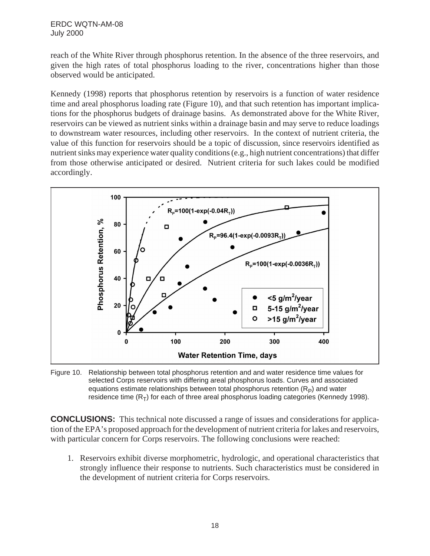reach of the White River through phosphorus retention. In the absence of the three reservoirs, and given the high rates of total phosphorus loading to the river, concentrations higher than those observed would be anticipated.

Kennedy (1998) reports that phosphorus retention by reservoirs is a function of water residence time and areal phosphorus loading rate (Figure 10), and that such retention has important implications for the phosphorus budgets of drainage basins. As demonstrated above for the White River, reservoirs can be viewed as nutrient sinks within a drainage basin and may serve to reduce loadings to downstream water resources, including other reservoirs. In the context of nutrient criteria, the value of this function for reservoirs should be a topic of discussion, since reservoirs identified as nutrient sinks may experience water quality conditions (e.g., high nutrient concentrations) that differ from those otherwise anticipated or desired. Nutrient criteria for such lakes could be modified accordingly.



Figure 10. Relationship between total phosphorus retention and and water residence time values for selected Corps reservoirs with differing areal phosphorus loads. Curves and associated equations estimate relationships between total phosphorus retention  $(R<sub>P</sub>)$  and water residence time  $(R_T)$  for each of three areal phosphorus loading categories (Kennedy 1998).

**CONCLUSIONS:** This technical note discussed a range of issues and considerations for application of the EPA's proposed approach for the development of nutrient criteria for lakes and reservoirs, with particular concern for Corps reservoirs. The following conclusions were reached:

1. Reservoirs exhibit diverse morphometric, hydrologic, and operational characteristics that strongly influence their response to nutrients. Such characteristics must be considered in the development of nutrient criteria for Corps reservoirs.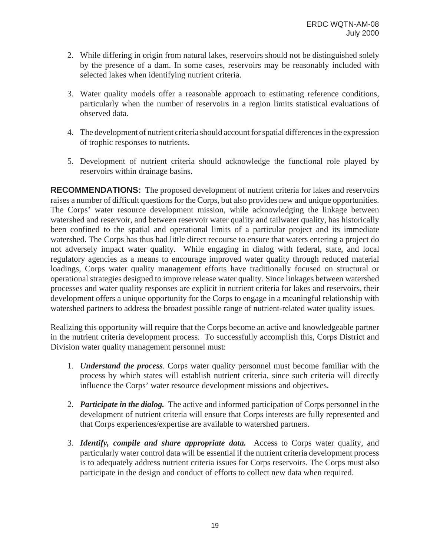- 2. While differing in origin from natural lakes, reservoirs should not be distinguished solely by the presence of a dam. In some cases, reservoirs may be reasonably included with selected lakes when identifying nutrient criteria.
- 3. Water quality models offer a reasonable approach to estimating reference conditions, particularly when the number of reservoirs in a region limits statistical evaluations of observed data.
- 4. The development of nutrient criteria should account for spatial differences in the expression of trophic responses to nutrients.
- 5. Development of nutrient criteria should acknowledge the functional role played by reservoirs within drainage basins.

**RECOMMENDATIONS:** The proposed development of nutrient criteria for lakes and reservoirs raises a number of difficult questions for the Corps, but also provides new and unique opportunities. The Corps' water resource development mission, while acknowledging the linkage between watershed and reservoir, and between reservoir water quality and tailwater quality, has historically been confined to the spatial and operational limits of a particular project and its immediate watershed. The Corps has thus had little direct recourse to ensure that waters entering a project do not adversely impact water quality. While engaging in dialog with federal, state, and local regulatory agencies as a means to encourage improved water quality through reduced material loadings, Corps water quality management efforts have traditionally focused on structural or operational strategies designed to improve release water quality. Since linkages between watershed processes and water quality responses are explicit in nutrient criteria for lakes and reservoirs, their development offers a unique opportunity for the Corps to engage in a meaningful relationship with watershed partners to address the broadest possible range of nutrient-related water quality issues.

Realizing this opportunity will require that the Corps become an active and knowledgeable partner in the nutrient criteria development process. To successfully accomplish this, Corps District and Division water quality management personnel must:

- 1. *Understand the process*. Corps water quality personnel must become familiar with the process by which states will establish nutrient criteria, since such criteria will directly influence the Corps' water resource development missions and objectives.
- 2. *Participate in the dialog.* The active and informed participation of Corps personnel in the development of nutrient criteria will ensure that Corps interests are fully represented and that Corps experiences/expertise are available to watershed partners.
- 3. *Identify, compile and share appropriate data.* Access to Corps water quality, and particularly water control data will be essential if the nutrient criteria development process is to adequately address nutrient criteria issues for Corps reservoirs. The Corps must also participate in the design and conduct of efforts to collect new data when required.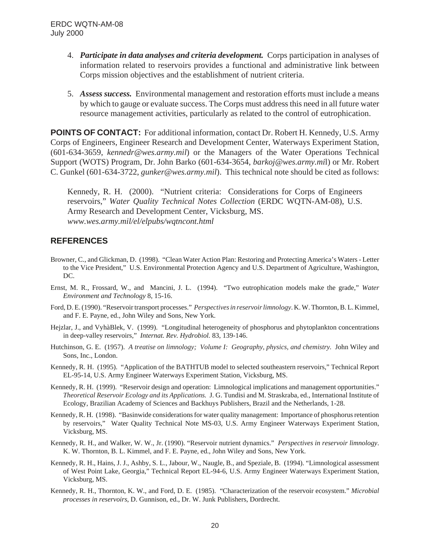- 4. *Participate in data analyses and criteria development.* Corps participation in analyses of information related to reservoirs provides a functional and administrative link between Corps mission objectives and the establishment of nutrient criteria.
- 5. *Assess success.* Environmental management and restoration efforts must include a means by which to gauge or evaluate success. The Corps must address this need in all future water resource management activities, particularly as related to the control of eutrophication.

**POINTS OF CONTACT:** For additional information, contact Dr. Robert H. Kennedy, U.S. Army Corps of Engineers, Engineer Research and Development Center, Waterways Experiment Station, (601-634-3659, *kennedr@wes.army.mil*) or the Managers of the Water Operations Technical Support (WOTS) Program, Dr. John Barko (601-634-3654, *barkoj@wes.army.mi*l) or Mr. Robert C. Gunkel (601-634-3722, *gunker@wes.army.mil*). This technical note should be cited as follows:

Kennedy, R. H. (2000). "Nutrient criteria: Considerations for Corps of Engineers reservoirs," *Water Quality Technical Notes Collection* (ERDC WQTN-AM-08), U.S. Army Research and Development Center, Vicksburg, MS. *www.wes.army.mil/el/elpubs/wqtncont.html*

#### **REFERENCES**

- Browner, C., and Glickman, D. (1998). "Clean Water Action Plan: Restoring and Protecting America's Waters Letter to the Vice President," U.S. Environmental Protection Agency and U.S. Department of Agriculture, Washington, DC.
- Ernst, M. R., Frossard, W., and Mancini, J. L. (1994). "Two eutrophication models make the grade," *Water Environment and Technology* 8, 15-16.
- Ford, D. E. (1990). "Reservoir transport processes." *Perspectives in reservoir limnology*. K. W. Thornton, B. L. Kimmel, and F. E. Payne, ed., John Wiley and Sons, New York.
- Hejzlar, J., and VyhàBlek, V. (1999). "Longitudinal heterogeneity of phosphorus and phytoplankton concentrations in deep-valley reservoirs," *Internat. Rev. Hydrobiol.* 83, 139-146.
- Hutchinson, G. E. (1957). *A treatise on limnology; Volume I: Geography, physics, and chemistry.* John Wiley and Sons, Inc., London.
- Kennedy, R. H. (1995). "Application of the BATHTUB model to selected southeastern reservoirs," Technical Report EL-95-14, U.S. Army Engineer Waterways Experiment Station, Vicksburg, MS.
- Kennedy, R. H. (1999). "Reservoir design and operation: Limnological implications and management opportunities." *Theoretical Reservoir Ecology and its Applications.* J. G. Tundisi and M. Straskraba, ed., International Institute of Ecology, Brazilian Academy of Sciences and Backhuys Publishers, Brazil and the Netherlands, 1-28.
- Kennedy, R. H. (1998). "Basinwide considerations for water quality management: Importance of phosphorus retention by reservoirs," Water Quality Technical Note MS-03, U.S. Army Engineer Waterways Experiment Station, Vicksburg, MS.
- Kennedy, R. H., and Walker, W. W., Jr. (1990). "Reservoir nutrient dynamics." *Perspectives in reservoir limnology*. K. W. Thornton, B. L. Kimmel, and F. E. Payne, ed., John Wiley and Sons, New York.
- Kennedy, R. H., Hains, J. J., Ashby, S. L., Jabour, W., Naugle, B., and Speziale, B. (1994). "Limnological assessment of West Point Lake, Georgia," Technical Report EL-94-6, U.S. Army Engineer Waterways Experiment Station, Vicksburg, MS.
- Kennedy, R. H., Thornton, K. W., and Ford, D. E. (1985). "Characterization of the reservoir ecosystem." *Microbial processes in reservoirs*, D. Gunnison, ed., Dr. W. Junk Publishers, Dordrecht.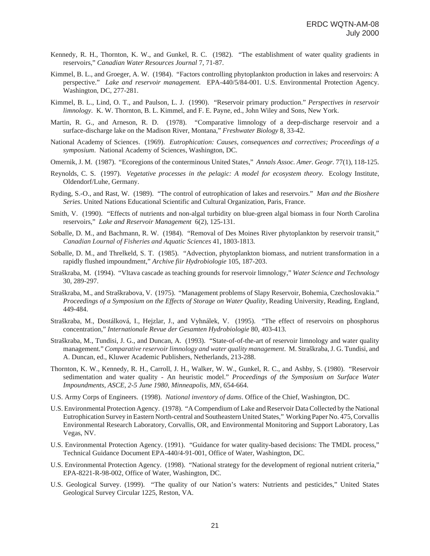- Kennedy, R. H., Thornton, K. W., and Gunkel, R. C. (1982). "The establishment of water quality gradients in reservoirs," *Canadian Water Resources Journal* 7, 71-87.
- Kimmel, B. L., and Groeger, A. W. (1984). "Factors controlling phytoplankton production in lakes and reservoirs: A perspective." *Lake and reservoir management.* EPA-440/5/84-001. U.S. Environmental Protection Agency. Washington, DC, 277-281.
- Kimmel, B. L., Lind, O. T., and Paulson, L. J. (1990). "Reservoir primary production." *Perspectives in reservoir limnology*. K. W. Thornton, B. L. Kimmel, and F. E. Payne, ed., John Wiley and Sons, New York.
- Martin, R. G., and Arneson, R. D. (1978). "Comparative limnology of a deep-discharge reservoir and a surface-discharge lake on the Madison River, Montana," *Freshwater Biology* 8, 33-42.
- National Academy of Sciences. (1969). *Eutrophication: Causes, consequences and correctives; Proceedings of a symposium*. National Academy of Sciences, Washington, DC.
- Omernik, J. M. (1987). "Ecoregions of the conterminous United States," *Annals Assoc. Amer. Geogr.* 77(1), 118-125.
- Reynolds, C. S. (1997). *Vegetative processes in the pelagic: A model for ecosystem theory.* Ecology Institute, Oldendorf/Luhe, Germany.
- Ryding, S.-O., and Rast, W. (1989). "The control of eutrophication of lakes and reservoirs." *Man and the Bioshere Series*. United Nations Educational Scientific and Cultural Organization, Paris, France.
- Smith, V. (1990). "Effects of nutrients and non-algal turbidity on blue-green algal biomass in four North Carolina reservoirs," *Lake and Reservoir Management* 6(2), 125-131.
- SØballe, D. M., and Bachmann, R. W. (1984). "Removal of Des Moines River phytoplankton by reservoir transit," *Canadian Lournal of Fisheries and Aquatic Sciences* 41, 1803-1813.
- SØballe, D. M., and Threlkeld, S. T. (1985). "Advection, phytoplankton biomass, and nutrient transformation in a rapidly flushed impoundment," *Archive fiir Hydrobiologie* 105, 187-203.
- Straškraba, M. (1994). "Vltava cascade as teaching grounds for reservoir limnology," *Water Science and Technology* 30, 289-297.
- Straškraba, M., and Straškrabova, V. (1975). "Management problems of Slapy Reservoir, Bohemia, Czechoslovakia." *Proceedings of a Symposium on the Effects of Storage on Water Quality*, Reading University, Reading, England, 449-484.
- Straškraba, M., Dostálková, I., Hejzlar, J., and Vyhnálek, V. (1995). "The effect of reservoirs on phosphorus concentration," *Internationale Revue der Gesamten Hydrobiologie* 80, 403-413.
- Straškraba, M., Tundisi, J. G., and Duncan, A. (1993). "State-of-of-the-art of reservoir limnology and water quality management." *Comparative reservoir limnology and water quality management*. M. Straškraba, J. G. Tundisi, and A. Duncan, ed., Kluwer Academic Publishers, Netherlands, 213-288.
- Thornton, K. W., Kennedy, R. H., Carroll, J. H., Walker, W. W., Gunkel, R. C., and Ashby, S. (1980). "Reservoir sedimentation and water quality - An heuristic model." *Proceedings of the Symposium on Surface Water Impoundments, ASCE, 2-5 June 1980, Minneapolis, MN*, 654-664.
- U.S. Army Corps of Engineers. (1998). *National inventory of dams*. Office of the Chief, Washington, DC.
- U.S. Environmental Protection Agency. (1978). "A Compendium of Lake and Reservoir Data Collected by the National Eutrophication Survey in Eastern North-central and Southeastern United States," Working Paper No. 475, Corvallis Environmental Research Laboratory, Corvallis, OR, and Environmental Monitoring and Support Laboratory, Las Vegas, NV.
- U.S. Environmental Protection Agency. (1991). "Guidance for water quality-based decisions: The TMDL process," Technical Guidance Document EPA-440/4-91-001, Office of Water, Washington, DC.
- U.S. Environmental Protection Agency. (1998). "National strategy for the development of regional nutrient criteria," EPA-8221-R-98-002, Office of Water, Washington, DC.
- U.S. Geological Survey. (1999). "The quality of our Nation's waters: Nutrients and pesticides," United States Geological Survey Circular 1225, Reston, VA.